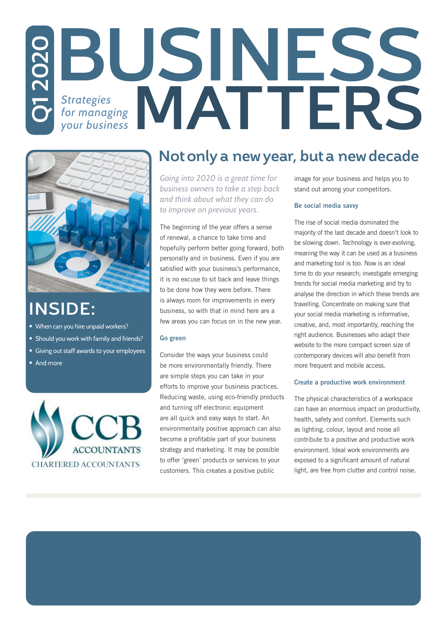# *Strategies for managing*  **QBUSINE** *your business*



### **INSIDE:**

- When can you hire unpaid workers?
- Should you work with family and friends?
- Giving out staff awards to your employees
- And more



### **Not only a new year, but a new decade**

*Going into 2020 is a great time for business owners to take a step back and think about what they can do to improve on previous years.*

The beginning of the year offers a sense of renewal, a chance to take time and hopefully perform better going forward, both personally and in business. Even if you are satisfied with your business's performance, it is no excuse to sit back and leave things to be done how they were before. There is always room for improvements in every business, so with that in mind here are a few areas you can focus on in the new year.

#### Go green

Consider the ways your business could be more environmentally friendly. There are simple steps you can take in your efforts to improve your business practices. Reducing waste, using eco-friendly products and turning off electronic equipment are all quick and easy ways to start. An environmentally positive approach can also become a profitable part of your business strategy and marketing. It may be possible to offer 'green' products or services to your customers. This creates a positive public

image for your business and helps you to stand out among your competitors.

#### Be social media savvy

The rise of social media dominated the majority of the last decade and doesn't look to be slowing down. Technology is ever-evolving, meaning the way it can be used as a business and marketing tool is too. Now is an ideal time to do your research; investigate emerging trends for social media marketing and try to analyse the direction in which these trends are travelling. Concentrate on making sure that your social media marketing is informative, creative, and, most importantly, reaching the right audience. Businesses who adapt their website to the more compact screen size of contemporary devices will also benefit from more frequent and mobile access.

#### Create a productive work environment

The physical characteristics of a workspace can have an enormous impact on productivity, health, safety and comfort. Elements such as lighting, colour, layout and noise all contribute to a positive and productive work environment. Ideal work environments are exposed to a significant amount of natural light, are free from clutter and control noise.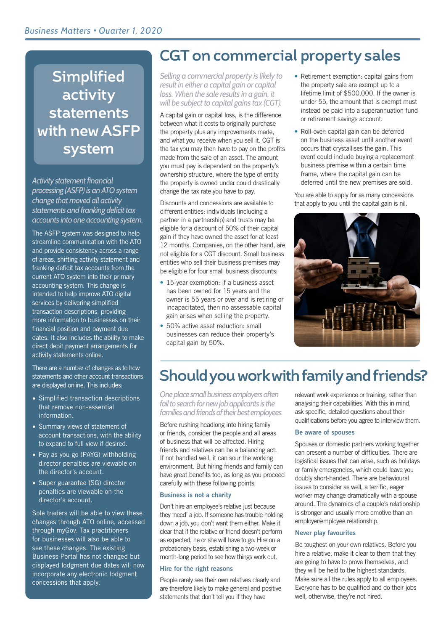## **Simplified activity statements with new ASFP system**

*Activity statement financial processing (ASFP) is an ATO system change that moved all activity statements and franking deficit tax accounts into one accounting system.* 

The ASFP system was designed to help streamline communication with the ATO and provide consistency across a range of areas, shifting activity statement and franking deficit tax accounts from the current ATO system into their primary accounting system. This change is intended to help improve ATO digital services by delivering simplified transaction descriptions, providing more information to businesses on their financial position and payment due dates. It also includes the ability to make direct debit payment arrangements for activity statements online.

There are a number of changes as to how statements and other account transactions are displayed online. This includes:

- Simplified transaction descriptions that remove non-essential information.
- Summary views of statement of account transactions, with the ability to expand to full view if desired.
- Pay as you go (PAYG) withholding director penalties are viewable on the director's account.
- Super guarantee (SG) director penalties are viewable on the director's account.

Sole traders will be able to view these changes through ATO online, accessed through myGov. Tax practitioners for businesses will also be able to see these changes. The existing Business Portal has not changed but displayed lodgment due dates will now incorporate any electronic lodgment concessions that apply.

### **CGT on commercial property sales**

*Selling a commercial property is likely to result in either a capital gain or capital loss. When the sale results in a gain, it will be subject to capital gains tax (CGT).*

A capital gain or capital loss, is the difference between what it costs to originally purchase the property plus any improvements made, and what you receive when you sell it. CGT is the tax you may then have to pay on the profits made from the sale of an asset. The amount you must pay is dependent on the property's ownership structure, where the type of entity the property is owned under could drastically change the tax rate you have to pay.

Discounts and concessions are available to different entities: individuals (including a partner in a partnership) and trusts may be eligible for a discount of 50% of their capital gain if they have owned the asset for at least 12 months. Companies, on the other hand, are not eligible for a CGT discount. Small business entities who sell their business premises may be eligible for four small business discounts:

- 15-year exemption: if a business asset has been owned for 15 years and the owner is 55 years or over and is retiring or incapacitated, then no assessable capital gain arises when selling the property.
- 50% active asset reduction: small businesses can reduce their property's capital gain by 50%.
- Retirement exemption: capital gains from the property sale are exempt up to a lifetime limit of \$500,000. If the owner is under 55, the amount that is exempt must instead be paid into a superannuation fund or retirement savings account.
- Roll-over: capital gain can be deferred on the business asset until another event occurs that crystallises the gain. This event could include buying a replacement business premise within a certain time frame, where the capital gain can be deferred until the new premises are sold.

You are able to apply for as many concessions that apply to you until the capital gain is nil.



## **Should you work with family and friends?**

*One place small business employers often fail to search for new job applicants is the families and friends of their best employees.*

Before rushing headlong into hiring family or friends, consider the people and all areas of business that will be affected. Hiring friends and relatives can be a balancing act. If not handled well, it can sour the working environment. But hiring friends and family can have great benefits too, as long as you proceed carefully with these following points:

### Business is not a charity

Don't hire an employee's relative just because they 'need' a job. If someone has trouble holding down a job, you don't want them either. Make it clear that if the relative or friend doesn't perform as expected, he or she will have to go. Hire on a probationary basis, establishing a two-week or month-long period to see how things work out.

### Hire for the right reasons

People rarely see their own relatives clearly and are therefore likely to make general and positive statements that don't tell you if they have

relevant work experience or training, rather than analysing their capabilities. With this in mind, ask specific, detailed questions about their qualifications before you agree to interview them.

### Be aware of spouses

Spouses or domestic partners working together can present a number of difficulties. There are logistical issues that can arise, such as holidays or family emergencies, which could leave you doubly short-handed. There are behavioural issues to consider as well, a terrific, eager worker may change dramatically with a spouse around. The dynamics of a couple's relationship is stronger and usually more emotive than an employer/employee relationship.

### Never play favourites

Be toughest on your own relatives. Before you hire a relative, make it clear to them that they are going to have to prove themselves, and they will be held to the highest standards. Make sure all the rules apply to all employees. Everyone has to be qualified and do their jobs well, otherwise, they're not hired.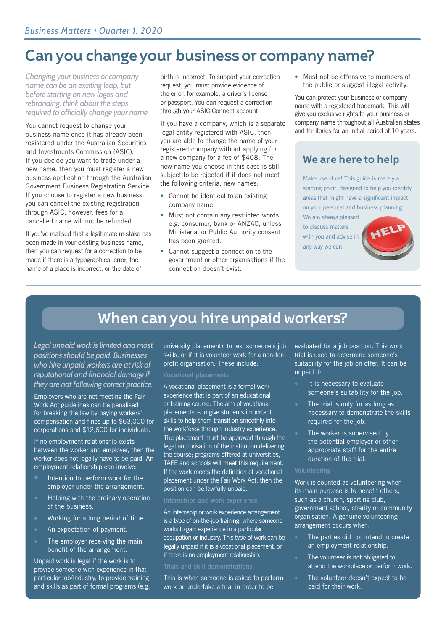### **Can you change your business or company name?**

*Changing your business or company name can be an exciting leap, but before starting on new logos and rebranding, think about the steps required to officially change your name.* 

You cannot request to change your business name once it has already been registered under the Australian Securities and Investments Commission (ASIC). If you decide you want to trade under a new name, then you must register a new business application through the Australian Government Business Registration Service. If you choose to register a new business, you can cancel the existing registration through ASIC, however, fees for a cancelled name will not be refunded.

If you've realised that a legitimate mistake has been made in your existing business name, then you can request for a correction to be made if there is a typographical error, the name of a place is incorrect, or the date of

birth is incorrect. To support your correction request, you must provide evidence of the error, for example, a driver's license or passport. You can request a correction through your ASIC Connect account.

If you have a company, which is a separate legal entity registered with ASIC, then you are able to change the name of your registered company without applying for a new company for a fee of \$408. The new name you choose in this case is still subject to be rejected if it does not meet the following criteria, new names:

- Cannot be identical to an existing company name.
- Must not contain any restricted words, e.g. consumer, bank or ANZAC, unless Ministerial or Public Authority consent has been granted.
- Cannot suggest a connection to the government or other organisations if the connection doesn't exist.

• Must not be offensive to members of the public or suggest illegal activity.

You can protect your business or company name with a registered trademark. This will give you exclusive rights to your business or company name throughout all Australian states and territories for an initial period of 10 years.

### **We are here to help**

Make use of us! This guide is merely a starting point, designed to help you identify areas that might have a significant impact on your personal and business planning.

We are always pleased to discuss matters with you and advise in any way we can.



### **When can you hire unpaid workers?**

*Legal unpaid work is limited and most positions should be paid. Businesses who hire unpaid workers are at risk of reputational and financial damage if they are not following correct practice.*

Employers who are not meeting the Fair Work Act guidelines can be penalised for breaking the law by paying workers' compensation and fines up to \$63,000 for corporations and \$12,600 for individuals.

If no employment relationship exists between the worker and employer, then the worker does not legally have to be paid. An employment relationship can involve:

- Intention to perform work for the employer under the arrangement.
- Helping with the ordinary operation of the business.
- Working for a long period of time.
- An expectation of payment.
- The employer receiving the main benefit of the arrangement.

Unpaid work is legal if the work is to provide someone with experience in that particular job/industry, to provide training and skills as part of formal programs (e.g. university placement), to test someone's job skills, or if it is volunteer work for a non-forprofit organisation. These include:

A vocational placement is a formal work experience that is part of an educational or training course. The aim of vocational placements is to give students important skills to help them transition smoothly into the workforce through industry experience. The placement must be approved through the legal authorisation of the institution delivering the course; programs offered at universities, TAFE and schools will meet this requirement. If the work meets the definition of vocational placement under the Fair Work Act, then the position can be lawfully unpaid.

An internship or work experience arrangement is a type of on-the-job training, where someone works to gain experience in a particular occupation or industry. This type of work can be legally unpaid if it is a vocational placement, or if there is no employment relationship.

This is when someone is asked to perform work or undertake a trial in order to be

evaluated for a job position. This work trial is used to determine someone's suitability for the job on offer. It can be unpaid if:

- It is necessary to evaluate someone's suitability for the job.
- The trial is only for as long as necessary to demonstrate the skills required for the job.
- The worker is supervised by the potential employer or other appropriate staff for the entire duration of the trial.

Work is counted as volunteering when its main purpose is to benefit others, such as a church, sporting club, government school, charity or community organisation. A genuine volunteering arrangement occurs when:

- The parties did not intend to create an employment relationship.
- The volunteer is not obligated to attend the workplace or perform work.
- The volunteer doesn't expect to be paid for their work.